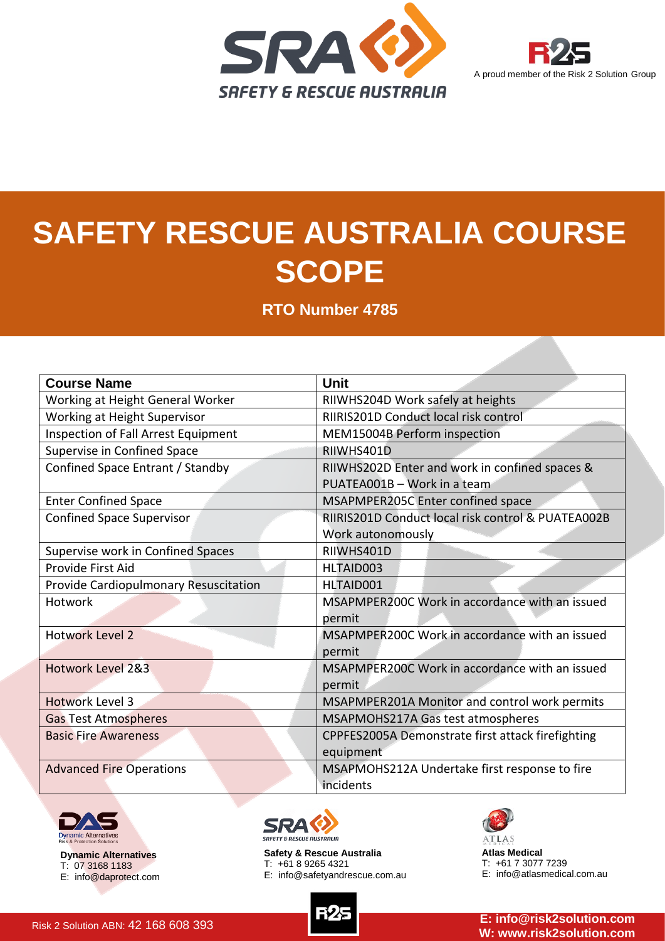



## **SAFETY RESCUE AUSTRALIA COURSE SCOPE**

**RTO Number 4785**

| <b>Course Name</b>                         | <b>Unit</b>                                                                   |
|--------------------------------------------|-------------------------------------------------------------------------------|
| Working at Height General Worker           | RIIWHS204D Work safely at heights                                             |
| Working at Height Supervisor               | RIIRIS201D Conduct local risk control                                         |
| <b>Inspection of Fall Arrest Equipment</b> | MEM15004B Perform inspection                                                  |
| Supervise in Confined Space                | RIIWHS401D                                                                    |
| Confined Space Entrant / Standby           | RIIWHS202D Enter and work in confined spaces &<br>PUATEA001B - Work in a team |
| <b>Enter Confined Space</b>                | MSAPMPER205C Enter confined space                                             |
| <b>Confined Space Supervisor</b>           | RIIRIS201D Conduct local risk control & PUATEA002B<br>Work autonomously       |
| Supervise work in Confined Spaces          | RIIWHS401D                                                                    |
| Provide First Aid                          | HLTAID003                                                                     |
| Provide Cardiopulmonary Resuscitation      | HLTAID001                                                                     |
| Hotwork                                    | MSAPMPER200C Work in accordance with an issued<br>permit                      |
| <b>Hotwork Level 2</b>                     | MSAPMPER200C Work in accordance with an issued<br>permit                      |
| Hotwork Level 2&3                          | MSAPMPER200C Work in accordance with an issued<br>permit                      |
| <b>Hotwork Level 3</b>                     | MSAPMPER201A Monitor and control work permits                                 |
| <b>Gas Test Atmospheres</b>                | MSAPMOHS217A Gas test atmospheres                                             |
| <b>Basic Fire Awareness</b>                | CPPFES2005A Demonstrate first attack firefighting                             |
|                                            | equipment                                                                     |
| <b>Advanced Fire Operations</b>            | MSAPMOHS212A Undertake first response to fire                                 |
|                                            | incidents                                                                     |



**Dynamic Alternatives** T: 07 3168 1183 E: info@daprotect.com



**Safety & Rescue Australia** T: +61 8 9265 4321 E: info@safetyandrescue.com.au



**Atlas Medical** T: +61 7 3077 7239 E: info@atlasmedical.com.au